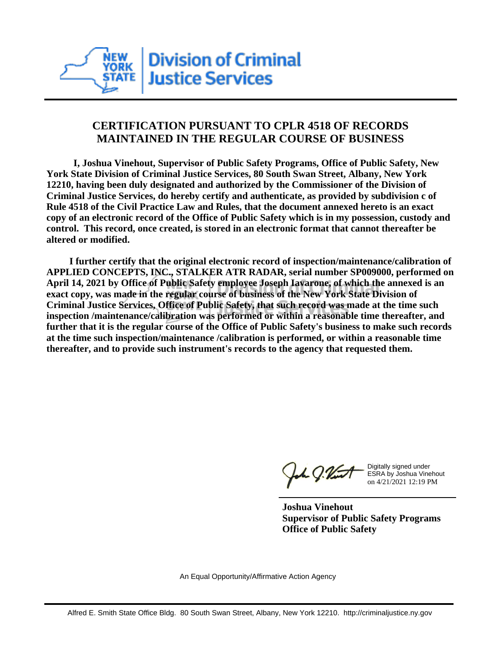

## **CERTIFICATION PURSUANT TO CPLR 4518 OF RECORDS MAINTAINED IN THE REGULAR COURSE OF BUSINESS**

 **I, Joshua Vinehout, Supervisor of Public Safety Programs, Office of Public Safety, New York State Division of Criminal Justice Services, 80 South Swan Street, Albany, New York 12210, having been duly designated and authorized by the Commissioner of the Division of Criminal Justice Services, do hereby certify and authenticate, as provided by subdivision c of Rule 4518 of the Civil Practice Law and Rules, that the document annexed hereto is an exact copy of an electronic record of the Office of Public Safety which is in my possession, custody and control. This record, once created, is stored in an electronic format that cannot thereafter be altered or modified.**

 **I further certify that the original electronic record of inspection/maintenance/calibration of APPLIED CONCEPTS, INC., STALKER ATR RADAR, serial number SP009000, performed on April 14, 2021 by Office of Public Safety employee Joseph Iavarone, of which the annexed is an exact copy, was made in the regular course of business of the New York State Division of Criminal Justice Services, Office of Public Safety, that such record was made at the time such inspection /maintenance/calibration was performed or within a reasonable time thereafter, and further that it is the regular course of the Office of Public Safety's business to make such records at the time such inspection/maintenance /calibration is performed, or within a reasonable time thereafter, and to provide such instrument's records to the agency that requested them.**

the J. Vint

Digitally signed under ESRA by Joshua Vinehout on 4/21/2021 12:19 PM

**Joshua Vinehout Supervisor of Public Safety Programs Office of Public Safety**

An Equal Opportunity/Affirmative Action Agency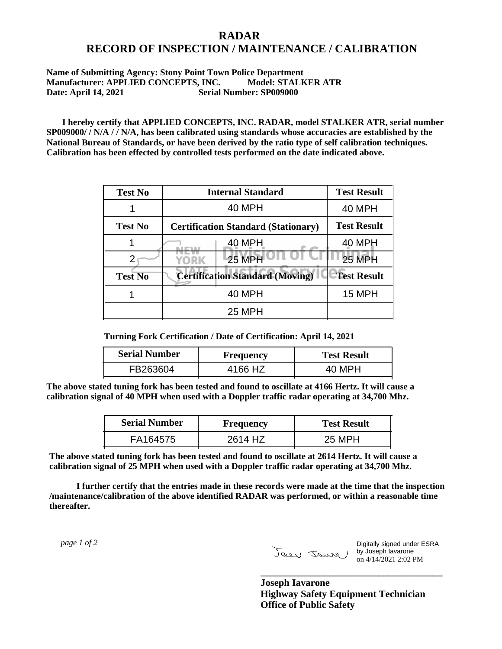## **RADAR RECORD OF INSPECTION / MAINTENANCE / CALIBRATION**

## **Name of Submitting Agency: Stony Point Town Police Department Manufacturer: APPLIED CONCEPTS, INC. Model: STALKER ATR Date: April 14, 2021 Serial Number: SP009000**

 **I hereby certify that APPLIED CONCEPTS, INC. RADAR, model STALKER ATR, serial number SP009000/ / N/A / / N/A, has been calibrated using standards whose accuracies are established by the National Bureau of Standards, or have been derived by the ratio type of self calibration techniques. Calibration has been effected by controlled tests performed on the date indicated above.**

| <b>Test No</b> | <b>Internal Standard</b>                   | <b>Test Result</b> |
|----------------|--------------------------------------------|--------------------|
|                | 40 MPH                                     | <b>40 MPH</b>      |
| <b>Test No</b> | <b>Certification Standard (Stationary)</b> | <b>Test Result</b> |
|                | 40 MPH                                     | 40 MPH             |
|                | 25 MPH<br>YORK                             | <b>25 MPH</b>      |
| <b>Test No</b> | <b>Certification Standard (Moving)</b>     | <b>Test Result</b> |
|                | <b>40 MPH</b>                              | <b>15 MPH</b>      |
|                | <b>25 MPH</b>                              |                    |

**Turning Fork Certification / Date of Certification: April 14, 2021**

| <b>Serial Number</b> | Frequency | <b>Test Result</b> |
|----------------------|-----------|--------------------|
| FB263604             | 4166 HZ   | 40 MPH             |

**The above stated tuning fork has been tested and found to oscillate at 4166 Hertz. It will cause a calibration signal of 40 MPH when used with a Doppler traffic radar operating at 34,700 Mhz.**

| <b>Serial Number</b> | Frequency | <b>Test Result</b> |
|----------------------|-----------|--------------------|
| FA164575             | 2614 HZ   | 25 MPH             |

**The above stated tuning fork has been tested and found to oscillate at 2614 Hertz. It will cause a calibration signal of 25 MPH when used with a Doppler traffic radar operating at 34,700 Mhz.**

 **I further certify that the entries made in these records were made at the time that the inspection /maintenance/calibration of the above identified RADAR was performed, or within a reasonable time thereafter.**

 *page 1 of 2* 

Digitally signed under ESRA by Joseph Iavarone on 4/14/2021 2:02 PM

**Joseph Iavarone Highway Safety Equipment Technician Office of Public Safety**

**\_\_\_\_\_\_\_\_\_\_\_\_\_\_\_\_\_\_\_\_\_\_\_\_\_\_\_\_\_\_\_\_\_\_\_\_\_**